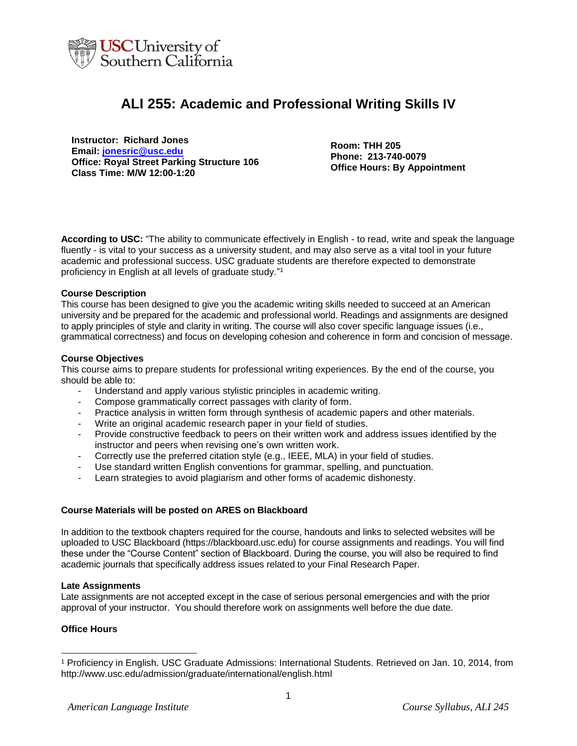

# **ALI 255: Academic and Professional Writing Skills IV**

**Instructor: Richard Jones Email: [jonesric@usc.edu](mailto:jonesric@usc.edu) Office: Royal Street Parking Structure 106 Class Time: M/W 12:00-1:20**

**Room: THH 205 Phone: 213-740-0079 Office Hours: By Appointment**

**According to USC:** "The ability to communicate effectively in English - to read, write and speak the language fluently - is vital to your success as a university student, and may also serve as a vital tool in your future academic and professional success. USC graduate students are therefore expected to demonstrate proficiency in English at all levels of graduate study." 1

## **Course Description**

This course has been designed to give you the academic writing skills needed to succeed at an American university and be prepared for the academic and professional world. Readings and assignments are designed to apply principles of style and clarity in writing. The course will also cover specific language issues (i.e., grammatical correctness) and focus on developing cohesion and coherence in form and concision of message.

#### **Course Objectives**

This course aims to prepare students for professional writing experiences. By the end of the course, you should be able to:

- Understand and apply various stylistic principles in academic writing.
- Compose grammatically correct passages with clarity of form.
- Practice analysis in written form through synthesis of academic papers and other materials.
- Write an original academic research paper in your field of studies.
- Provide constructive feedback to peers on their written work and address issues identified by the instructor and peers when revising one's own written work.
- Correctly use the preferred citation style (e.g., IEEE, MLA) in your field of studies.
- Use standard written English conventions for grammar, spelling, and punctuation.
- Learn strategies to avoid plagiarism and other forms of academic dishonesty.

## **Course Materials will be posted on ARES on Blackboard**

In addition to the textbook chapters required for the course, handouts and links to selected websites will be uploaded to USC Blackboard (https://blackboard.usc.edu) for course assignments and readings. You will find these under the "Course Content" section of Blackboard. During the course, you will also be required to find academic journals that specifically address issues related to your Final Research Paper.

#### **Late Assignments**

Late assignments are not accepted except in the case of serious personal emergencies and with the prior approval of your instructor. You should therefore work on assignments well before the due date.

## **Office Hours**

l

<sup>1</sup> Proficiency in English. USC Graduate Admissions: International Students. Retrieved on Jan. 10, 2014, from http://www.usc.edu/admission/graduate/international/english.html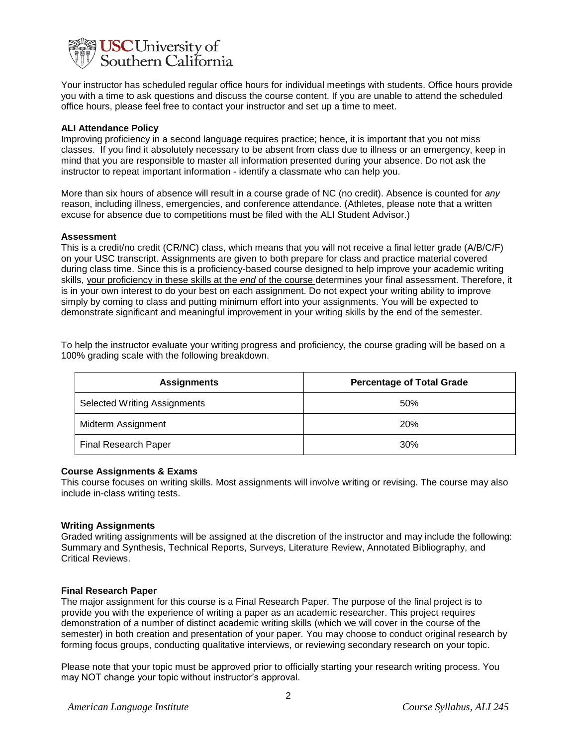

Your instructor has scheduled regular office hours for individual meetings with students. Office hours provide you with a time to ask questions and discuss the course content. If you are unable to attend the scheduled office hours, please feel free to contact your instructor and set up a time to meet.

#### **ALI Attendance Policy**

Improving proficiency in a second language requires practice; hence, it is important that you not miss classes. If you find it absolutely necessary to be absent from class due to illness or an emergency, keep in mind that you are responsible to master all information presented during your absence. Do not ask the instructor to repeat important information - identify a classmate who can help you.

More than six hours of absence will result in a course grade of NC (no credit). Absence is counted for *any* reason, including illness, emergencies, and conference attendance. (Athletes, please note that a written excuse for absence due to competitions must be filed with the ALI Student Advisor.)

#### **Assessment**

This is a credit/no credit (CR/NC) class, which means that you will not receive a final letter grade (A/B/C/F) on your USC transcript. Assignments are given to both prepare for class and practice material covered during class time. Since this is a proficiency-based course designed to help improve your academic writing skills, your proficiency in these skills at the *end* of the course determines your final assessment. Therefore, it is in your own interest to do your best on each assignment. Do not expect your writing ability to improve simply by coming to class and putting minimum effort into your assignments. You will be expected to demonstrate significant and meaningful improvement in your writing skills by the end of the semester.

To help the instructor evaluate your writing progress and proficiency, the course grading will be based on a 100% grading scale with the following breakdown.

| <b>Assignments</b>                  | <b>Percentage of Total Grade</b> |
|-------------------------------------|----------------------------------|
| <b>Selected Writing Assignments</b> | 50%                              |
| Midterm Assignment                  | <b>20%</b>                       |
| Final Research Paper                | 30%                              |

#### **Course Assignments & Exams**

This course focuses on writing skills. Most assignments will involve writing or revising. The course may also include in-class writing tests.

## **Writing Assignments**

Graded writing assignments will be assigned at the discretion of the instructor and may include the following: Summary and Synthesis, Technical Reports, Surveys, Literature Review, Annotated Bibliography, and Critical Reviews.

#### **Final Research Paper**

The major assignment for this course is a Final Research Paper. The purpose of the final project is to provide you with the experience of writing a paper as an academic researcher. This project requires demonstration of a number of distinct academic writing skills (which we will cover in the course of the semester) in both creation and presentation of your paper. You may choose to conduct original research by forming focus groups, conducting qualitative interviews, or reviewing secondary research on your topic.

Please note that your topic must be approved prior to officially starting your research writing process. You may NOT change your topic without instructor's approval.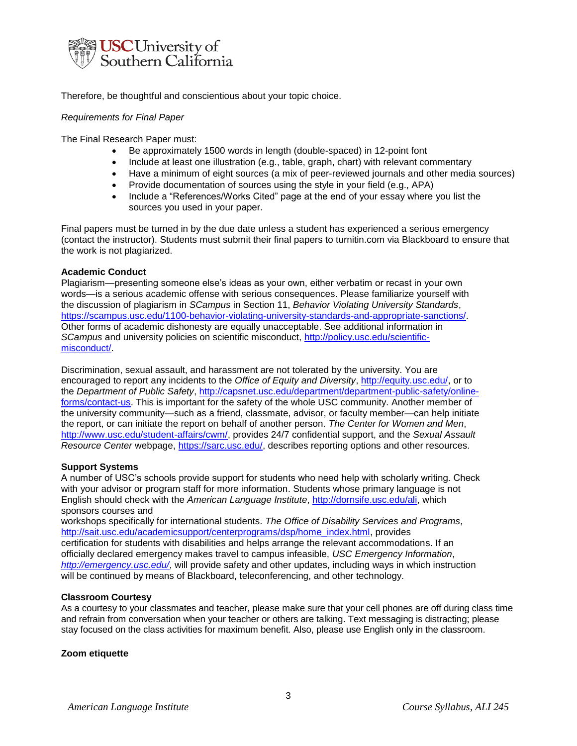

Therefore, be thoughtful and conscientious about your topic choice.

## *Requirements for Final Paper*

The Final Research Paper must:

- Be approximately 1500 words in length (double-spaced) in 12-point font
- Include at least one illustration (e.g., table, graph, chart) with relevant commentary
- Have a minimum of eight sources (a mix of peer-reviewed journals and other media sources)
- Provide documentation of sources using the style in your field (e.g., APA)
- Include a "References/Works Cited" page at the end of your essay where you list the sources you used in your paper.

Final papers must be turned in by the due date unless a student has experienced a serious emergency (contact the instructor). Students must submit their final papers to turnitin.com via Blackboard to ensure that the work is not plagiarized.

## **Academic Conduct**

Plagiarism—presenting someone else's ideas as your own, either verbatim or recast in your own words—is a serious academic offense with serious consequences. Please familiarize yourself with the discussion of plagiarism in *SCampus* in Section 11, *Behavior Violating University Standards*, [https://scampus.usc.edu/1100-behavior-violating-university-standards-and-appropriate-sanctions/.](https://scampus.usc.edu/1100-behavior-violating-university-standards-and-appropriate-sanctions/) Other forms of academic dishonesty are equally unacceptable. See additional information in *SCampus* and university policies on scientific misconduct, [http://policy.usc.edu/scientific](http://policy.usc.edu/scientific-misconduct/)[misconduct/.](http://policy.usc.edu/scientific-misconduct/)

Discrimination, sexual assault, and harassment are not tolerated by the university. You are encouraged to report any incidents to the *Office of Equity and Diversity*, [http://equity.usc.edu/,](http://equity.usc.edu/) or to the *Department of Public Safety*, [http://capsnet.usc.edu/department/department-public-safety/online](http://capsnet.usc.edu/department/department-public-safety/online-forms/contact-us)[forms/contact-us.](http://capsnet.usc.edu/department/department-public-safety/online-forms/contact-us) This is important for the safety of the whole USC community. Another member of the university community—such as a friend, classmate, advisor, or faculty member—can help initiate the report, or can initiate the report on behalf of another person. *The Center for Women and Men*, [http://www.usc.edu/student-affairs/cwm/,](http://www.usc.edu/student-affairs/cwm/) provides 24/7 confidential support, and the *Sexual Assault Resource Center* webpage, [https://sarc.usc.edu/,](https://sarc.usc.edu/) describes reporting options and other resources.

## **Support Systems**

A number of USC's schools provide support for students who need help with scholarly writing. Check with your advisor or program staff for more information. Students whose primary language is not English should check with the *American Language Institute*, [http://dornsife.usc.edu/ali,](http://dornsife.usc.edu/ali) which sponsors courses and

workshops specifically for international students. *The Office of Disability Services and Programs*, [http://sait.usc.edu/academicsupport/centerprograms/dsp/home\\_index.html,](http://sait.usc.edu/academicsupport/centerprograms/dsp/home_index.html) provides certification for students with disabilities and helps arrange the relevant accommodations. If an officially declared emergency makes travel to campus infeasible, *USC Emergency Information*, *<http://emergency.usc.edu/>*, will provide safety and other updates, including ways in which instruction will be continued by means of Blackboard, teleconferencing, and other technology.

## **Classroom Courtesy**

As a courtesy to your classmates and teacher, please make sure that your cell phones are off during class time and refrain from conversation when your teacher or others are talking. Text messaging is distracting; please stay focused on the class activities for maximum benefit. Also, please use English only in the classroom.

## **Zoom etiquette**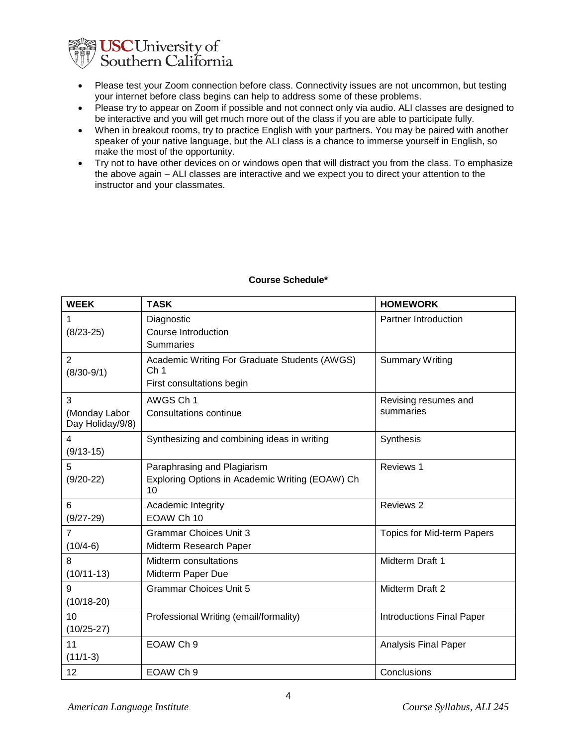

- Please test your Zoom connection before class. Connectivity issues are not uncommon, but testing your internet before class begins can help to address some of these problems.
- Please try to appear on Zoom if possible and not connect only via audio. ALI classes are designed to be interactive and you will get much more out of the class if you are able to participate fully.
- When in breakout rooms, try to practice English with your partners. You may be paired with another speaker of your native language, but the ALI class is a chance to immerse yourself in English, so make the most of the opportunity.
- Try not to have other devices on or windows open that will distract you from the class. To emphasize the above again – ALI classes are interactive and we expect you to direct your attention to the instructor and your classmates.

| <b>WEEK</b>                            | <b>TASK</b>                                                                                   | <b>HOMEWORK</b>                   |
|----------------------------------------|-----------------------------------------------------------------------------------------------|-----------------------------------|
| 1<br>$(8/23-25)$                       | Diagnostic<br><b>Course Introduction</b><br><b>Summaries</b>                                  | <b>Partner Introduction</b>       |
| $\overline{2}$<br>$(8/30-9/1)$         | Academic Writing For Graduate Students (AWGS)<br>Ch <sub>1</sub><br>First consultations begin | <b>Summary Writing</b>            |
| 3<br>(Monday Labor<br>Day Holiday/9/8) | AWGS Ch 1<br><b>Consultations continue</b>                                                    | Revising resumes and<br>summaries |
| 4<br>$(9/13-15)$                       | Synthesizing and combining ideas in writing                                                   | Synthesis                         |
| 5<br>$(9/20-22)$                       | Paraphrasing and Plagiarism<br>Exploring Options in Academic Writing (EOAW) Ch<br>10          | Reviews 1                         |
| 6<br>$(9/27 - 29)$                     | Academic Integrity<br>EOAW Ch 10                                                              | Reviews 2                         |
| $\overline{7}$<br>$(10/4-6)$           | <b>Grammar Choices Unit 3</b><br>Midterm Research Paper                                       | Topics for Mid-term Papers        |
| 8<br>$(10/11-13)$                      | Midterm consultations<br>Midterm Paper Due                                                    | Midterm Draft 1                   |
| 9<br>$(10/18-20)$                      | <b>Grammar Choices Unit 5</b>                                                                 | Midterm Draft 2                   |
| 10<br>$(10/25-27)$                     | Professional Writing (email/formality)                                                        | <b>Introductions Final Paper</b>  |
| 11<br>$(11/1-3)$                       | EOAW Ch 9                                                                                     | Analysis Final Paper              |
| 12                                     | EOAW Ch 9                                                                                     | Conclusions                       |

## **Course Schedule\***